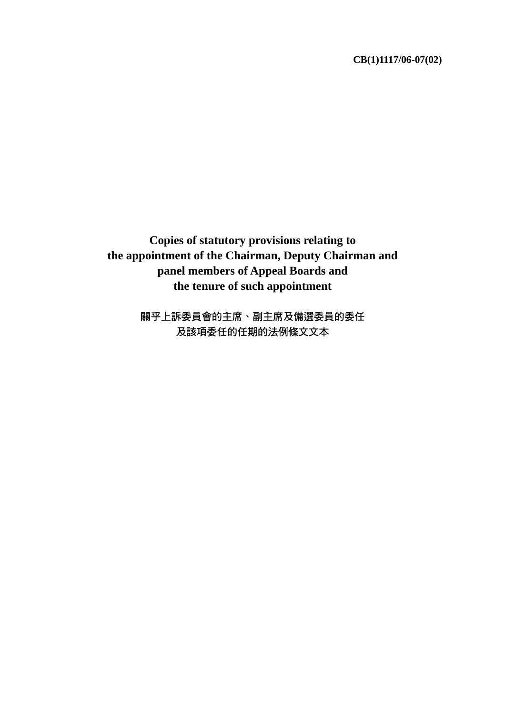**CB(1)1117/06-07(02)**

**Copies of statutory provisions relating to the appointment of the Chairman, Deputy Chairman and panel members of Appeal Boards and the tenure of such appointment** 

> 關乎上訴委員會的主席、副主席及備選委員的委任 及該項委任的任期的法例條文文本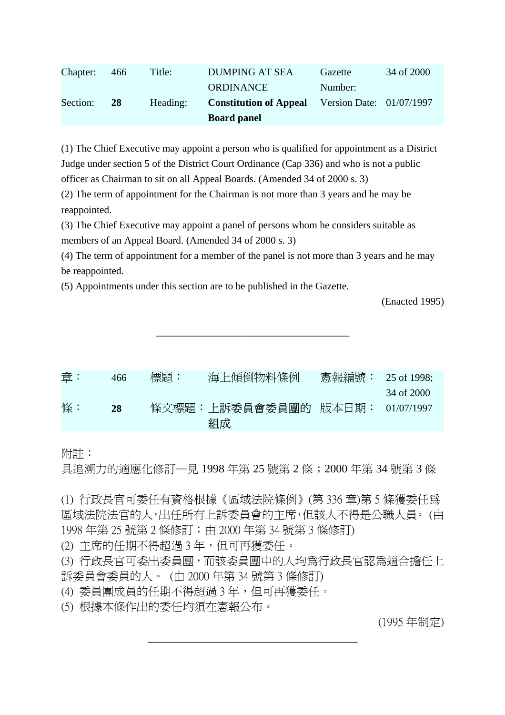|          |           |          | <b>Board panel</b>            |                          |            |
|----------|-----------|----------|-------------------------------|--------------------------|------------|
| Section: | <b>28</b> | Heading: | <b>Constitution of Appeal</b> | Version Date: 01/07/1997 |            |
|          |           |          | ORDINANCE                     | Number:                  |            |
| Chapter: | 466       | Title:   | <b>DUMPING AT SEA</b>         | Gazette                  | 34 of 2000 |

(1) The Chief Executive may appoint a person who is qualified for appointment as a District Judge under section 5 of the District Court Ordinance (Cap 336) and who is not a public officer as Chairman to sit on all Appeal Boards. (Amended 34 of 2000 s. 3)

(2) The term of appointment for the Chairman is not more than 3 years and he may be reappointed.

(3) The Chief Executive may appoint a panel of persons whom he considers suitable as members of an Appeal Board. (Amended 34 of 2000 s. 3)

(4) The term of appointment for a member of the panel is not more than 3 years and he may be reappointed.

(5) Appointments under this section are to be published in the Gazette.

(Enacted 1995)

| 章: | 466       | 標題: | 海上傾倒物料條例                        |            |
|----|-----------|-----|---------------------------------|------------|
|    |           |     |                                 | 34 of 2000 |
| 條: | <b>28</b> |     | 條文標題:上訴委員會委員團的 版本日期: 01/07/1997 |            |
|    |           |     | 組成                              |            |

\_\_\_\_\_\_\_\_\_\_\_\_\_\_\_\_\_\_\_\_\_\_\_\_\_\_\_\_\_\_\_\_\_\_\_\_\_\_

附註:

具追溯力的適應化修訂─見 1998 年第 25 號第 2 條;2000 年第 34 號第 3 條

(1) 行政長官可委任有資格根據《區域法院條例》(第 336 章)第 5 條獲委任為 區域法院法官的人,出任所有上訴委員會的主席,但該人不得是公職人員。 (由 1998 年第 25 號第 2 條修訂;由 2000 年第 34 號第 3 條修訂)

(2) 主席的任期不得超過 3 年,但可再獲委任。

(3) 行政長官可委出委員團,而該委員團中的人均為行政長官認為適合擔任上 訴委員會委員的人。 (由 2000 年第 34 號第 3 條修訂)

\_\_\_\_\_\_\_\_\_\_\_\_\_\_\_\_\_\_\_\_\_\_\_\_\_\_\_\_\_\_\_\_\_\_\_\_\_\_

(4) 委員團成員的任期不得超過 3 年,但可再獲委任。

(5) 根據本條作出的委任均須在憲報公布。

(1995 年制定)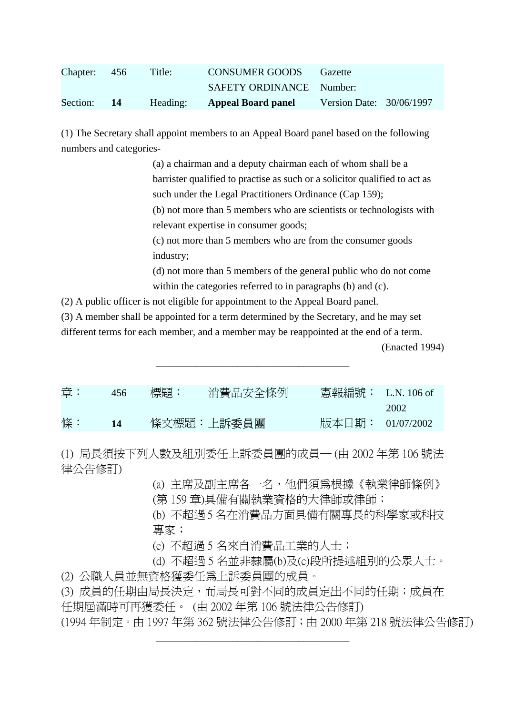| Chapter: 456 | Title:   | <b>CONSUMER GOODS</b>     | Gazette                  |  |
|--------------|----------|---------------------------|--------------------------|--|
|              |          | SAFETY ORDINANCE Number:  |                          |  |
| Section: 14  | Heading: | <b>Appeal Board panel</b> | Version Date: 30/06/1997 |  |

(1) The Secretary shall appoint members to an Appeal Board panel based on the following numbers and categories-

> (a) a chairman and a deputy chairman each of whom shall be a barrister qualified to practise as such or a solicitor qualified to act as such under the Legal Practitioners Ordinance (Cap 159); (b) not more than 5 members who are scientists or technologists with

relevant expertise in consumer goods;

(c) not more than 5 members who are from the consumer goods industry;

(d) not more than 5 members of the general public who do not come within the categories referred to in paragraphs (b) and (c).

(2) A public officer is not eligible for appointment to the Appeal Board panel.

(3) A member shall be appointed for a term determined by the Secretary, and he may set

different terms for each member, and a member may be reappointed at the end of a term.

(Enacted 1994)

| 章: | 456         | 標題: | 消費品安全條例    | - 憲報編號: - L.N. 106 of |      |
|----|-------------|-----|------------|-----------------------|------|
|    |             |     |            |                       | 2002 |
| 條: | $\sqrt{14}$ |     | 條文標題:上訴委員團 | 版本日期: 01/07/2002      |      |

\_\_\_\_\_\_\_\_\_\_\_\_\_\_\_\_\_\_\_\_\_\_\_\_\_\_\_\_\_\_\_\_\_\_\_\_\_\_

(1) 局長須按下列人數及組別委任上訴委員團的成員─ (由 2002 年第 106 號法 律公告修訂)

> (a) 主席及副主席各一名,他們須為根據《執業律師條例》 (第 159 章)具備有關執業資格的大律師或律師;

(b) 不超過 5 名在消費品方面具備有關專長的科學家或科技 專家;

(c) 不超過 5 名來自消費品工業的人士;

(d) 不超過 5 名並非隸屬(b)及(c)段所提述組別的公眾人士。

(2) 公職人員並無資格獲委任為上訴委員團的成員。

(3) 成員的任期由局長決定,而局長可對不同的成員定出不同的任期;成員在 任期屆滿時可再獲委任。 (由 2002 年第 106 號法律公告修訂)

\_\_\_\_\_\_\_\_\_\_\_\_\_\_\_\_\_\_\_\_\_\_\_\_\_\_\_\_\_\_\_\_\_\_\_\_\_\_

(1994 年制定。由 1997 年第 362 號法律公告修訂;由 2000 年第 218 號法律公告修訂)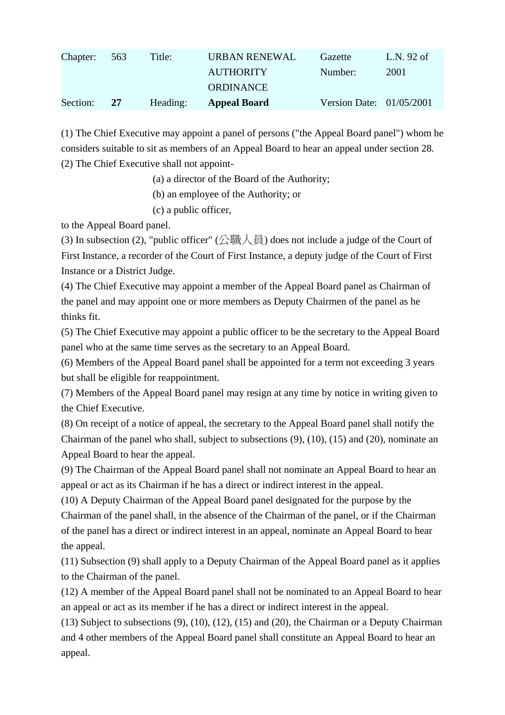| Chapter: | 563 | Title:   | URBAN RENEWAL       | Gazette                    | L.N. 92 of |
|----------|-----|----------|---------------------|----------------------------|------------|
|          |     |          | <b>AUTHORITY</b>    | Number:                    | 2001       |
|          |     |          | <b>ORDINANCE</b>    |                            |            |
| Section: | 27  | Heading: | <b>Appeal Board</b> | Version Date: $01/05/2001$ |            |

(1) The Chief Executive may appoint a panel of persons ("the Appeal Board panel") whom he considers suitable to sit as members of an Appeal Board to hear an appeal under section 28. (2) The Chief Executive shall not appoint-

(a) a director of the Board of the Authority;

(b) an employee of the Authority; or

(c) a public officer,

to the Appeal Board panel.

(3) In subsection (2), "public officer" (公職人員) does not include a judge of the Court of First Instance, a recorder of the Court of First Instance, a deputy judge of the Court of First Instance or a District Judge.

(4) The Chief Executive may appoint a member of the Appeal Board panel as Chairman of the panel and may appoint one or more members as Deputy Chairmen of the panel as he thinks fit.

(5) The Chief Executive may appoint a public officer to be the secretary to the Appeal Board panel who at the same time serves as the secretary to an Appeal Board.

(6) Members of the Appeal Board panel shall be appointed for a term not exceeding 3 years but shall be eligible for reappointment.

(7) Members of the Appeal Board panel may resign at any time by notice in writing given to the Chief Executive.

(8) On receipt of a notice of appeal, the secretary to the Appeal Board panel shall notify the Chairman of the panel who shall, subject to subsections (9), (10), (15) and (20), nominate an Appeal Board to hear the appeal.

(9) The Chairman of the Appeal Board panel shall not nominate an Appeal Board to hear an appeal or act as its Chairman if he has a direct or indirect interest in the appeal.

(10) A Deputy Chairman of the Appeal Board panel designated for the purpose by the Chairman of the panel shall, in the absence of the Chairman of the panel, or if the Chairman of the panel has a direct or indirect interest in an appeal, nominate an Appeal Board to hear the appeal.

(11) Subsection (9) shall apply to a Deputy Chairman of the Appeal Board panel as it applies to the Chairman of the panel.

(12) A member of the Appeal Board panel shall not be nominated to an Appeal Board to hear an appeal or act as its member if he has a direct or indirect interest in the appeal.

(13) Subject to subsections (9), (10), (12), (15) and (20), the Chairman or a Deputy Chairman and 4 other members of the Appeal Board panel shall constitute an Appeal Board to hear an appeal.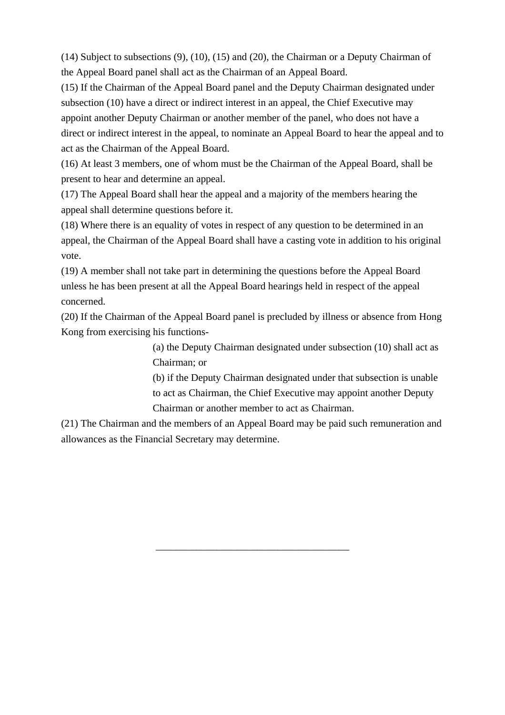(14) Subject to subsections (9), (10), (15) and (20), the Chairman or a Deputy Chairman of the Appeal Board panel shall act as the Chairman of an Appeal Board.

(15) If the Chairman of the Appeal Board panel and the Deputy Chairman designated under subsection (10) have a direct or indirect interest in an appeal, the Chief Executive may appoint another Deputy Chairman or another member of the panel, who does not have a direct or indirect interest in the appeal, to nominate an Appeal Board to hear the appeal and to act as the Chairman of the Appeal Board.

(16) At least 3 members, one of whom must be the Chairman of the Appeal Board, shall be present to hear and determine an appeal.

(17) The Appeal Board shall hear the appeal and a majority of the members hearing the appeal shall determine questions before it.

(18) Where there is an equality of votes in respect of any question to be determined in an appeal, the Chairman of the Appeal Board shall have a casting vote in addition to his original vote.

(19) A member shall not take part in determining the questions before the Appeal Board unless he has been present at all the Appeal Board hearings held in respect of the appeal concerned.

(20) If the Chairman of the Appeal Board panel is precluded by illness or absence from Hong Kong from exercising his functions-

> (a) the Deputy Chairman designated under subsection (10) shall act as Chairman; or

> (b) if the Deputy Chairman designated under that subsection is unable to act as Chairman, the Chief Executive may appoint another Deputy Chairman or another member to act as Chairman.

(21) The Chairman and the members of an Appeal Board may be paid such remuneration and allowances as the Financial Secretary may determine.

\_\_\_\_\_\_\_\_\_\_\_\_\_\_\_\_\_\_\_\_\_\_\_\_\_\_\_\_\_\_\_\_\_\_\_\_\_\_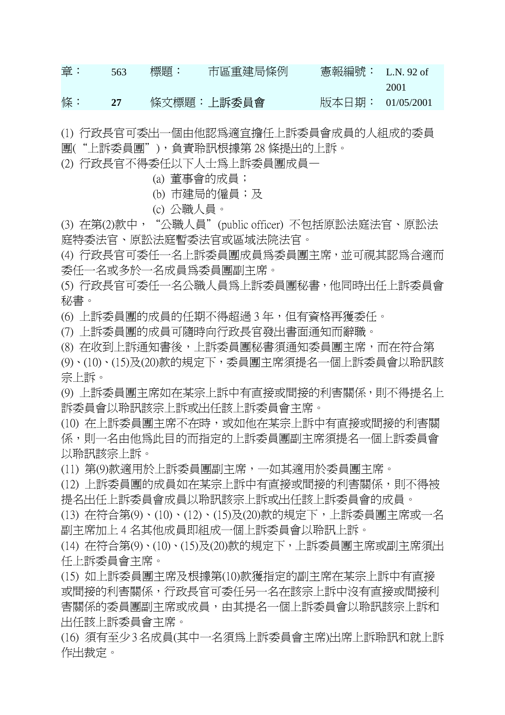| 章: | 563 | 標題: | 市區重建局條例    |                    |      |
|----|-----|-----|------------|--------------------|------|
|    |     |     |            |                    | 2001 |
| 條: | 27  |     | 條文標題:上訴委員會 | 版本日期:   01/05/2001 |      |

(1) 行政長官可委出一個由他認為適宜擔任上訴委員會成員的人組成的委員 團("上訴委員團"),負責聆訊根據第 28 條提出的上訴。

(2) 行政長官不得委任以下人士為上訴委員團成員—

(a) 董事會的成員;

(b) 市建局的僱員;及

(c) 公職人員。

(3) 在第(2)款中,"公職人員"(public officer) 不包括原訟法庭法官、原訟法 庭特委法官、原訟法庭暫委法官或區域法院法官。

(4) 行政長官可委任一名上訴委員團成員為委員團主席,並可視其認為合適而 委任一名或多於一名成員為委員團副主席。

(5) 行政長官可委任一名公職人員為上訴委員團秘書,他同時出任上訴委員會 秘書。

(6) 上訴委員團的成員的任期不得超過 3 年,但有資格再獲委任。

(7) 上訴委員團的成員可隨時向行政長官發出書面通知而辭職。

(8) 在收到上訴通知書後,上訴委員團秘書須通知委員團主席,而在符合第

(9)、(10)、(15)及(20)款的規定下,委員團主席須提名一個上訴委員會以聆訊該 宗上訴。

(9) 上訴委員團主席如在某宗上訴中有直接或間接的利害關係,則不得提名上 訴委員會以聆訊該宗上訴或出任該上訴委員會主席。

(10) 在上訴委員團主席不在時,或如他在某宗上訴中有直接或間接的利害關 係,則一名由他為此目的而指定的上訴委員團副主席須提名一個上訴委員會 以聆訊該宗上訴。

(11) 第(9)款適用於上訴委員團副主席,一如其適用於委員團主席。

(12) 上訴委員團的成員如在某宗上訴中有直接或間接的利害關係,則不得被 提名出任上訴委員會成員以聆訊該宗上訴或出任該上訴委員會的成員。

(13) 在符合第(9)、(10)、(12)、(15)及(20)款的規定下,上訴委員團主席或一名 副主席加上 4 名其他成員即組成一個上訴委員會以聆訊上訴。

(14) 在符合第(9)、(10)、(15)及(20)款的規定下,上訴委員團主席或副主席須出 任上訴委員會主席。

(15) 如上訴委員團主席及根據第(10)款獲指定的副主席在某宗上訴中有直接 或間接的利害關係,行政長官可委任另一名在該宗上訴中沒有直接或間接利 害關係的委員團副主席或成員,由其提名一個上訴委員會以聆訊該宗上訴和 出任該上訴委員會主席。

(16) 須有至少 3 名成員(其中一名須為上訴委員會主席)出席上訴聆訊和就上訴 作出裁定。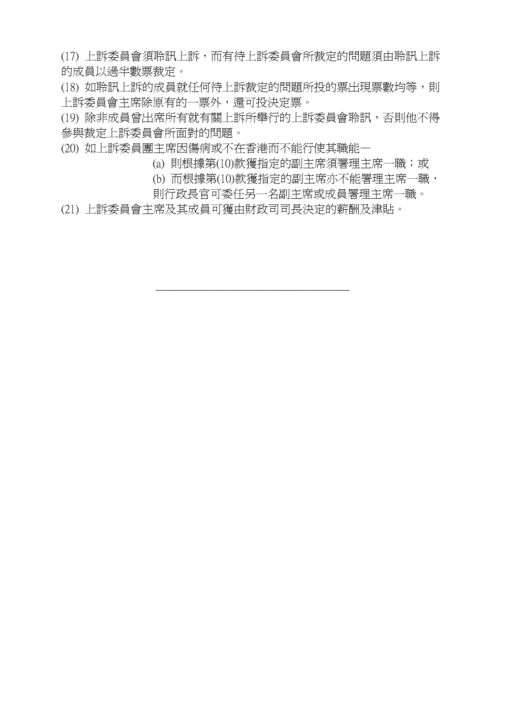(17) 上訴委員會須聆訊上訴,而有待上訴委員會所裁定的問題須由聆訊上訴 的成員以過半數票裁定。

(18) 如聆訊上訴的成員就任何待上訴裁定的問題所投的票出現票數均等,則 上訴委員會主席除原有的一票外,還可投決定票。

(19) 除非成員曾出席所有就有關上訴所舉行的上訴委員會聆訊,否則他不得 參與裁定上訴委員會所面對的問題。

\_\_\_\_\_\_\_\_\_\_\_\_\_\_\_\_\_\_\_\_\_\_\_\_\_\_\_\_\_\_\_\_\_\_\_\_\_\_

(20) 如上訴委員團主席因傷病或不在香港而不能行使其職能—

(a) 則根據第(10)款獲指定的副主席須署理主席一職;或

(b) 而根據第(10)款獲指定的副主席亦不能署理主席一職,

則行政長官可委任另一名副主席或成員署理主席一職。

(21) 上訴委員會主席及其成員可獲由財政司司長決定的薪酬及津貼。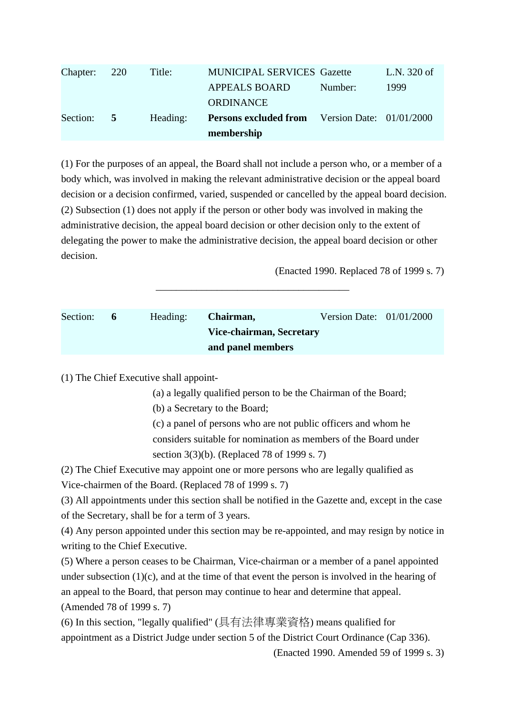| Chapter: 220 |          | Title:   | <b>MUNICIPAL SERVICES Gazette</b>                     |         | L.N. 320 of |
|--------------|----------|----------|-------------------------------------------------------|---------|-------------|
|              |          |          | <b>APPEALS BOARD</b>                                  | Number: | 1999        |
|              |          |          | <b>ORDINANCE</b>                                      |         |             |
| Section:     | $\sim$ 5 | Heading: | <b>Persons excluded from</b> Version Date: 01/01/2000 |         |             |
|              |          |          | membership                                            |         |             |

(1) For the purposes of an appeal, the Board shall not include a person who, or a member of a body which, was involved in making the relevant administrative decision or the appeal board decision or a decision confirmed, varied, suspended or cancelled by the appeal board decision. (2) Subsection (1) does not apply if the person or other body was involved in making the administrative decision, the appeal board decision or other decision only to the extent of delegating the power to make the administrative decision, the appeal board decision or other decision.

(Enacted 1990. Replaced 78 of 1999 s. 7)

| Section: | 6 | Heading: | Chairman,                | Version Date: $01/01/2000$ |  |
|----------|---|----------|--------------------------|----------------------------|--|
|          |   |          | Vice-chairman, Secretary |                            |  |
|          |   |          | and panel members        |                            |  |

\_\_\_\_\_\_\_\_\_\_\_\_\_\_\_\_\_\_\_\_\_\_\_\_\_\_\_\_\_\_\_\_\_\_\_\_\_\_

(1) The Chief Executive shall appoint-

(a) a legally qualified person to be the Chairman of the Board;

(b) a Secretary to the Board;

(c) a panel of persons who are not public officers and whom he considers suitable for nomination as members of the Board under section 3(3)(b). (Replaced 78 of 1999 s. 7)

(2) The Chief Executive may appoint one or more persons who are legally qualified as Vice-chairmen of the Board. (Replaced 78 of 1999 s. 7)

(3) All appointments under this section shall be notified in the Gazette and, except in the case of the Secretary, shall be for a term of 3 years.

(4) Any person appointed under this section may be re-appointed, and may resign by notice in writing to the Chief Executive.

(5) Where a person ceases to be Chairman, Vice-chairman or a member of a panel appointed under subsection  $(1)(c)$ , and at the time of that event the person is involved in the hearing of an appeal to the Board, that person may continue to hear and determine that appeal. (Amended 78 of 1999 s. 7)

(6) In this section, "legally qualified" (具有法律專業資格) means qualified for appointment as a District Judge under section 5 of the District Court Ordinance (Cap 336).

(Enacted 1990. Amended 59 of 1999 s. 3)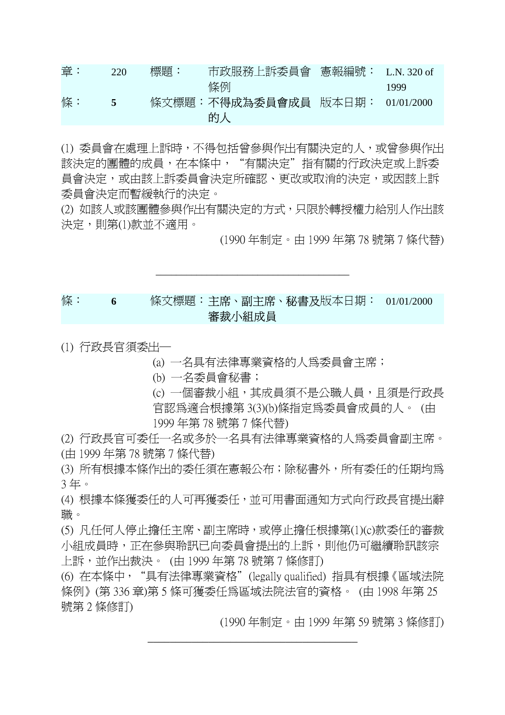| 章: | 220 | 標題: | 市政服務上訴委員會 憲報編號: L.N. 320 of     |      |
|----|-----|-----|---------------------------------|------|
|    |     |     | 條例                              | 1999 |
| 條: | 5   |     | 條文標題:不得成為委員會成員 版本日期: 01/01/2000 |      |
|    |     |     | 的人                              |      |

(1) 委員會在處理上訴時,不得包括曾參與作出有關決定的人,或曾參與作出 該決定的團體的成員,在本條中,"有關決定"指有關的行政決定或上訴委 員會決定,或由該上訴委員會決定所確認、更改或取消的決定,或因該上訴 委員會決定而暫緩執行的決定。

(2) 如該人或該團體參與作出有關決定的方式,只限於轉授權力給別人作出該 決定,則第(1)款並不適用。

\_\_\_\_\_\_\_\_\_\_\_\_\_\_\_\_\_\_\_\_\_\_\_\_\_\_\_\_\_\_\_\_\_\_\_\_\_\_

(1990 年制定。由 1999 年第 78 號第 7 條代替)

## 條: **6** 條文標題:主席、副主席、秘書及 版本日期: 01/01/2000 審裁小組成員

(1) 行政長官須委出─

(a) 一名具有法律專業資格的人為委員會主席;

(b) 一名委員會秘書;

(c) 一個審裁小組,其成員須不是公職人員,且須是行政長 官認為適合根據第 3(3)(b)條指定為委員會成員的人。 (由

1999 年第 78 號第 7 條代替)

(2) 行政長官可委任一名或多於一名具有法律專業資格的人為委員會副主席。 (由 1999 年第 78 號第 7 條代替)

(3) 所有根據本條作出的委任須在憲報公布;除秘書外,所有委任的任期均為 3 年。

(4) 根據本條獲委任的人可再獲委任,並可用書面通知方式向行政長官提出辭 職。

(5) 凡任何人停止擔任主席、副主席時,或停止擔任根據第(1)(c)款委任的審裁 小組成員時,正在參與聆訊已向委員會提出的上訴,則他仍可繼續聆訊該宗 上訴,並作出裁決。 (由 1999 年第 78 號第 7 條修訂)

(6) 在本條中,"具有法律專業資格"(legally qualified) 指具有根據《區域法院 條例》(第 336 章)第 5 條可獲委任為區域法院法官的資格。 (由 1998 年第 25 號第 2 條修訂)

\_\_\_\_\_\_\_\_\_\_\_\_\_\_\_\_\_\_\_\_\_\_\_\_\_\_\_\_\_\_\_\_\_\_\_\_\_\_

(1990 年制定。由 1999 年第 59 號第 3 條修訂)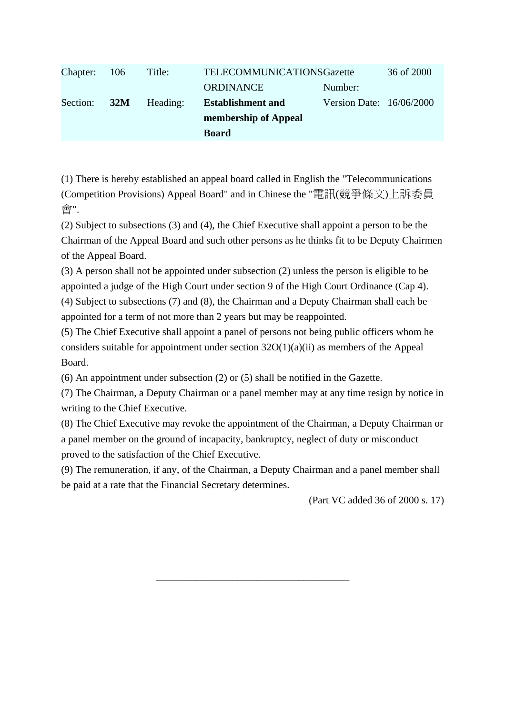| Chapter: 106 |     | Title:   | TELECOMMUNICATIONSGazette |                            | 36 of 2000 |
|--------------|-----|----------|---------------------------|----------------------------|------------|
|              |     |          | <b>ORDINANCE</b>          | Number:                    |            |
| Section:     | 32M | Heading: | <b>Establishment and</b>  | Version Date: $16/06/2000$ |            |
|              |     |          | membership of Appeal      |                            |            |
|              |     |          | <b>Board</b>              |                            |            |

(1) There is hereby established an appeal board called in English the "Telecommunications (Competition Provisions) Appeal Board" and in Chinese the "電訊(競爭條文)上訴委員 會".

(2) Subject to subsections (3) and (4), the Chief Executive shall appoint a person to be the Chairman of the Appeal Board and such other persons as he thinks fit to be Deputy Chairmen of the Appeal Board.

(3) A person shall not be appointed under subsection (2) unless the person is eligible to be appointed a judge of the High Court under section 9 of the High Court Ordinance (Cap 4). (4) Subject to subsections (7) and (8), the Chairman and a Deputy Chairman shall each be appointed for a term of not more than 2 years but may be reappointed.

(5) The Chief Executive shall appoint a panel of persons not being public officers whom he considers suitable for appointment under section  $32O(1)(a)(ii)$  as members of the Appeal Board.

(6) An appointment under subsection (2) or (5) shall be notified in the Gazette.

(7) The Chairman, a Deputy Chairman or a panel member may at any time resign by notice in writing to the Chief Executive.

(8) The Chief Executive may revoke the appointment of the Chairman, a Deputy Chairman or a panel member on the ground of incapacity, bankruptcy, neglect of duty or misconduct proved to the satisfaction of the Chief Executive.

(9) The remuneration, if any, of the Chairman, a Deputy Chairman and a panel member shall be paid at a rate that the Financial Secretary determines.

\_\_\_\_\_\_\_\_\_\_\_\_\_\_\_\_\_\_\_\_\_\_\_\_\_\_\_\_\_\_\_\_\_\_\_\_\_\_

(Part VC added 36 of 2000 s. 17)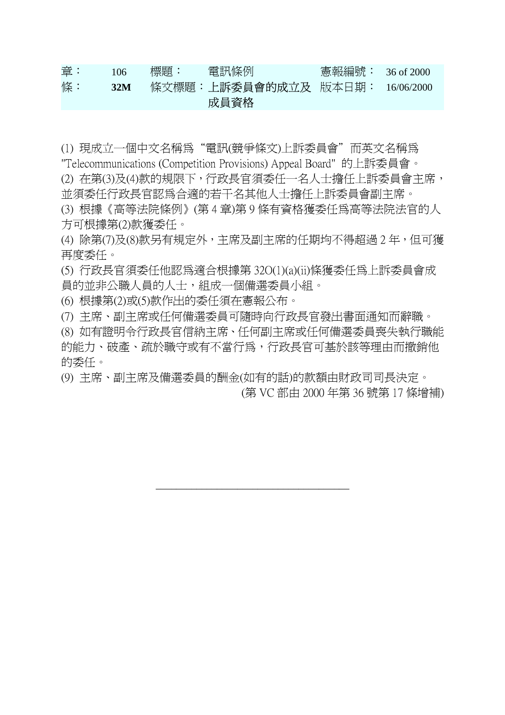| 章: | 106 | 標題: | 電訊條例                                    | 憲報編號: 36 of 2000 |  |
|----|-----|-----|-----------------------------------------|------------------|--|
| 條: | 32M |     | - 條文標題:上訴委員會的成立及 - 版本日期: - 16/06/2000 - |                  |  |
|    |     |     | 成員資格                                    |                  |  |

(1) 現成立一個中文名稱為"電訊(競爭條文)上訴委員會"而英文名稱為

"Telecommunications (Competition Provisions) Appeal Board" 的上訴委員會。

(2) 在第(3)及(4)款的規限下,行政長官須委任一名人士擔任上訴委員會主席, 並須委任行政長官認為合適的若干名其他人士擔任上訴委員會副主席。

(3) 根據《高等法院條例》(第 4 章)第 9 條有資格獲委任為高等法院法官的人 方可根據第(2)款獲委任。

(4) 除第(7)及(8)款另有規定外,主席及副主席的任期均不得超過 2 年,但可獲 再度委任。

(5) 行政長官須委任他認為適合根據第 32O(1)(a)(ii)條獲委任為上訴委員會成 員的並非公職人員的人士,組成一個備選委員小組。

(6) 根據第(2)或(5)款作出的委任須在憲報公布。

(7) 主席、副主席或任何備選委員可隨時向行政長官發出書面通知而辭職。

(8) 如有證明令行政長官信納主席、任何副主席或任何備選委員喪失執行職能 的能力、破產、疏於職守或有不當行為,行政長官可基於該等理由而撤銷他 的委任。

(9) 主席、副主席及備選委員的酬金(如有的話)的款額由財政司司長決定。 (第 VC 部由 2000 年第 36 號第 17 條增補)

\_\_\_\_\_\_\_\_\_\_\_\_\_\_\_\_\_\_\_\_\_\_\_\_\_\_\_\_\_\_\_\_\_\_\_\_\_\_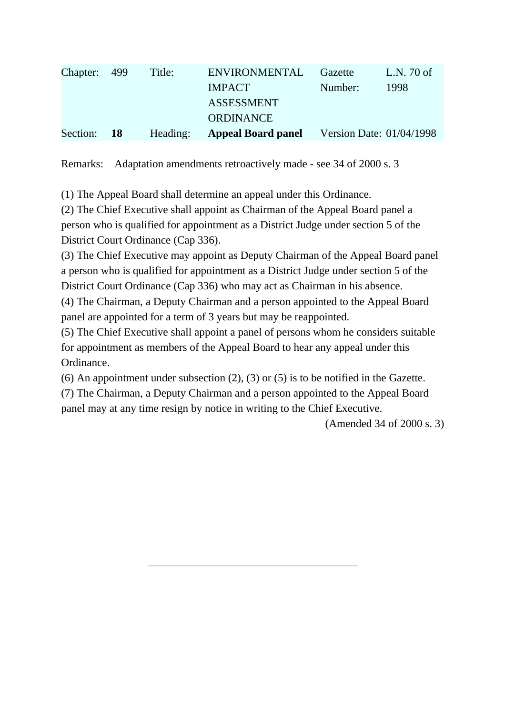| Chapter: 499 | Title:   | <b>ENVIRONMENTAL</b>      | Gazette | L.N. 70 of               |
|--------------|----------|---------------------------|---------|--------------------------|
|              |          | <b>IMPACT</b>             | Number: | 1998                     |
|              |          | <b>ASSESSMENT</b>         |         |                          |
|              |          | <b>ORDINANCE</b>          |         |                          |
| Section: 18  | Heading: | <b>Appeal Board panel</b> |         | Version Date: 01/04/1998 |

Remarks: Adaptation amendments retroactively made - see 34 of 2000 s. 3

(1) The Appeal Board shall determine an appeal under this Ordinance.

(2) The Chief Executive shall appoint as Chairman of the Appeal Board panel a person who is qualified for appointment as a District Judge under section 5 of the District Court Ordinance (Cap 336).

(3) The Chief Executive may appoint as Deputy Chairman of the Appeal Board panel a person who is qualified for appointment as a District Judge under section 5 of the District Court Ordinance (Cap 336) who may act as Chairman in his absence.

(4) The Chairman, a Deputy Chairman and a person appointed to the Appeal Board panel are appointed for a term of 3 years but may be reappointed.

(5) The Chief Executive shall appoint a panel of persons whom he considers suitable for appointment as members of the Appeal Board to hear any appeal under this Ordinance.

(6) An appointment under subsection (2), (3) or (5) is to be notified in the Gazette.

(7) The Chairman, a Deputy Chairman and a person appointed to the Appeal Board panel may at any time resign by notice in writing to the Chief Executive.

\_\_\_\_\_\_\_\_\_\_\_\_\_\_\_\_\_\_\_\_\_\_\_\_\_\_\_\_\_\_\_\_\_\_\_\_\_\_

(Amended 34 of 2000 s. 3)